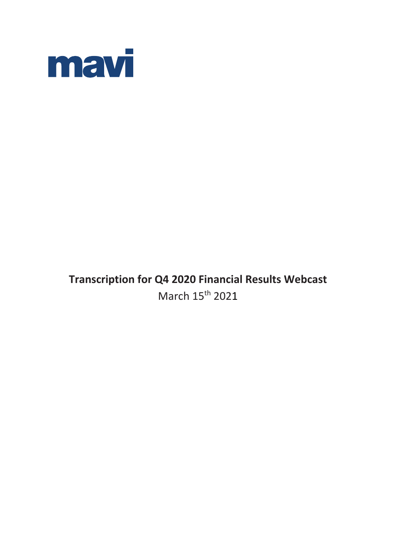

# **Transcription for Q4 2020 Financial Results Webcast** March 15<sup>th</sup> 2021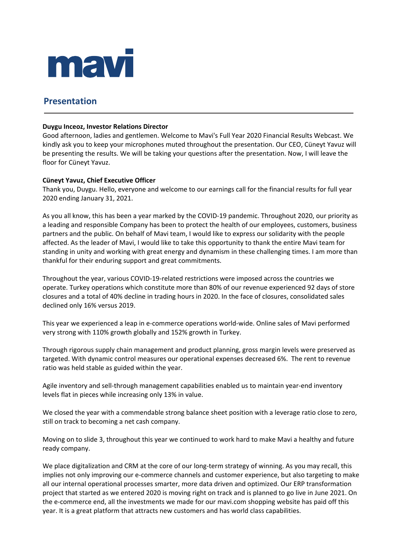

# **Presentation**

### **Duygu Inceoz, Investor Relations Director**

Good afternoon, ladies and gentlemen. Welcome to Mavi's Full Year 2020 Financial Results Webcast. We kindly ask you to keep your microphones muted throughout the presentation. Our CEO, Cüneyt Yavuz will be presenting the results. We will be taking your questions after the presentation. Now, I will leave the floor for Cüneyt Yavuz.

### **Cüneyt Yavuz, Chief Executive Officer**

Thank you, Duygu. Hello, everyone and welcome to our earnings call for the financial results for full year 2020 ending January 31, 2021.

As you all know, this has been a year marked by the COVID-19 pandemic. Throughout 2020, our priority as a leading and responsible Company has been to protect the health of our employees, customers, business partners and the public. On behalf of Mavi team, I would like to express our solidarity with the people affected. As the leader of Mavi, I would like to take this opportunity to thank the entire Mavi team for standing in unity and working with great energy and dynamism in these challenging times. I am more than thankful for their enduring support and great commitments.

Throughout the year, various COVID-19-related restrictions were imposed across the countries we operate. Turkey operations which constitute more than 80% of our revenue experienced 92 days of store closures and a total of 40% decline in trading hours in 2020. In the face of closures, consolidated sales declined only 16% versus 2019.

This year we experienced a leap in e-commerce operations world-wide. Online sales of Mavi performed very strong with 110% growth globally and 152% growth in Turkey.

Through rigorous supply chain management and product planning, gross margin levels were preserved as targeted. With dynamic control measures our operational expenses decreased 6%. The rent to revenue ratio was held stable as guided within the year.

Agile inventory and sell-through management capabilities enabled us to maintain year-end inventory levels flat in pieces while increasing only 13% in value.

We closed the year with a commendable strong balance sheet position with a leverage ratio close to zero, still on track to becoming a net cash company.

Moving on to slide 3, throughout this year we continued to work hard to make Mavi a healthy and future ready company.

We place digitalization and CRM at the core of our long-term strategy of winning. As you may recall, this implies not only improving our e-commerce channels and customer experience, but also targeting to make all our internal operational processes smarter, more data driven and optimized. Our ERP transformation project that started as we entered 2020 is moving right on track and is planned to go live in June 2021. On the e-commerce end, all the investments we made for our mavi.com shopping website has paid off this year. It is a great platform that attracts new customers and has world class capabilities.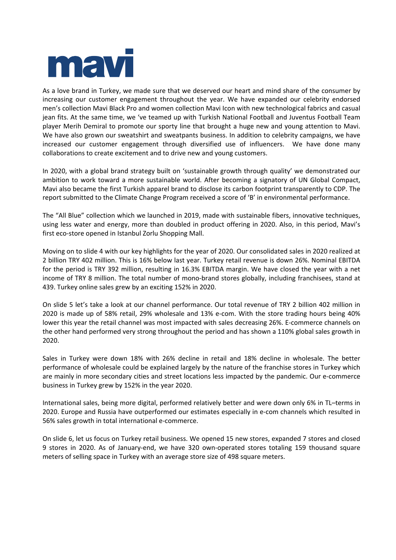

As a love brand in Turkey, we made sure that we deserved our heart and mind share of the consumer by increasing our customer engagement throughout the year. We have expanded our celebrity endorsed men's collection Mavi Black Pro and women collection Mavi Icon with new technological fabrics and casual jean fits. At the same time, we 've teamed up with Turkish National Football and Juventus Football Team player Merih Demiral to promote our sporty line that brought a huge new and young attention to Mavi. We have also grown our sweatshirt and sweatpants business. In addition to celebrity campaigns, we have increased our customer engagement through diversified use of influencers. We have done many collaborations to create excitement and to drive new and young customers.

In 2020, with a global brand strategy built on 'sustainable growth through quality' we demonstrated our ambition to work toward a more sustainable world. After becoming a signatory of UN Global Compact, Mavi also became the first Turkish apparel brand to disclose its carbon footprint transparently to CDP. The report submitted to the Climate Change Program received a score of 'B' in environmental performance.

The "All Blue" collection which we launched in 2019, made with sustainable fibers, innovative techniques, using less water and energy, more than doubled in product offering in 2020. Also, in this period, Mavi's first eco-store opened in Istanbul Zorlu Shopping Mall.

Moving on to slide 4 with our key highlights for the year of 2020. Our consolidated sales in 2020 realized at 2 billion TRY 402 million. This is 16% below last year. Turkey retail revenue is down 26%. Nominal EBITDA for the period is TRY 392 million, resulting in 16.3% EBITDA margin. We have closed the year with a net income of TRY 8 million. The total number of mono-brand stores globally, including franchisees, stand at 439. Turkey online sales grew by an exciting 152% in 2020.

On slide 5 let's take a look at our channel performance. Our total revenue of TRY 2 billion 402 million in 2020 is made up of 58% retail, 29% wholesale and 13% e-com. With the store trading hours being 40% lower this year the retail channel was most impacted with sales decreasing 26%. E-commerce channels on the other hand performed very strong throughout the period and has shown a 110% global sales growth in 2020.

Sales in Turkey were down 18% with 26% decline in retail and 18% decline in wholesale. The better performance of wholesale could be explained largely by the nature of the franchise stores in Turkey which are mainly in more secondary cities and street locations less impacted by the pandemic. Our e-commerce business in Turkey grew by 152% in the year 2020.

International sales, being more digital, performed relatively better and were down only 6% in TL–terms in 2020. Europe and Russia have outperformed our estimates especially in e-com channels which resulted in 56% sales growth in total international e-commerce.

On slide 6, let us focus on Turkey retail business. We opened 15 new stores, expanded 7 stores and closed 9 stores in 2020. As of January-end, we have 320 own-operated stores totaling 159 thousand square meters of selling space in Turkey with an average store size of 498 square meters.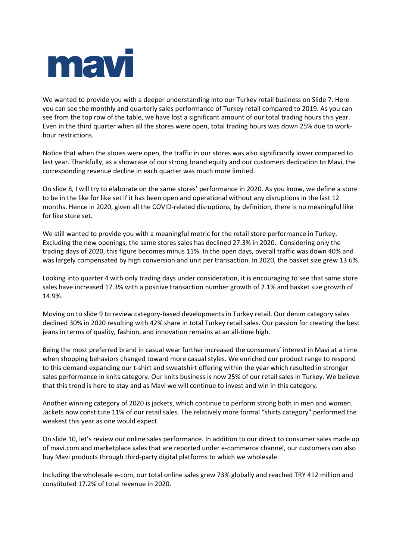

We wanted to provide you with a deeper understanding into our Turkey retail business on Slide 7. Here you can see the monthly and quarterly sales performance of Turkey retail compared to 2019. As you can see from the top row of the table, we have lost a significant amount of our total trading hours this year. Even in the third quarter when all the stores were open, total trading hours was down 25% due to workhour restrictions.

Notice that when the stores were open, the traffic in our stores was also significantly lower compared to last year. Thankfully, as a showcase of our strong brand equity and our customers dedication to Mavi, the corresponding revenue decline in each quarter was much more limited.

On slide 8, I will try to elaborate on the same stores' performance in 2020. As you know, we define a store to be in the like for like set if it has been open and operational without any disruptions in the last 12 months. Hence in 2020, given all the COVID-related disruptions, by definition, there is no meaningful like for like store set.

We still wanted to provide you with a meaningful metric for the retail store performance in Turkey. Excluding the new openings, the same stores sales has declined 27.3% in 2020. Considering only the trading days of 2020, this figure becomes minus 11%. In the open days, overall traffic was down 40% and was largely compensated by high conversion and unit per transaction. In 2020, the basket size grew 13.6%.

Looking into quarter 4 with only trading days under consideration, it is encouraging to see that same store sales have increased 17.3% with a positive transaction number growth of 2.1% and basket size growth of 14.9%.

Moving on to slide 9 to review category-based developments in Turkey retail. Our denim category sales declined 30% in 2020 resulting with 42% share in total Turkey retail sales. Our passion for creating the best jeans in terms of quality, fashion, and innovation remains at an all-time high.

Being the most preferred brand in casual wear further increased the consumers' interest in Mavi at a time when shopping behaviors changed toward more casual styles. We enriched our product range to respond to this demand expanding our t-shirt and sweatshirt offering within the year which resulted in stronger sales performance in knits category. Our knits business is now 25% of our retail sales in Turkey. We believe that this trend is here to stay and as Mavi we will continue to invest and win in this category.

Another winning category of 2020 is jackets, which continue to perform strong both in men and women. Jackets now constitute 11% of our retail sales. The relatively more formal "shirts category" performed the weakest this year as one would expect.

On slide 10, let's review our online sales performance. In addition to our direct to consumer sales made up of mavi.com and marketplace sales that are reported under e-commerce channel, our customers can also buy Mavi products through third-party digital platforms to which we wholesale.

Including the wholesale e-com, our total online sales grew 73% globally and reached TRY 412 million and constituted 17.2% of total revenue in 2020.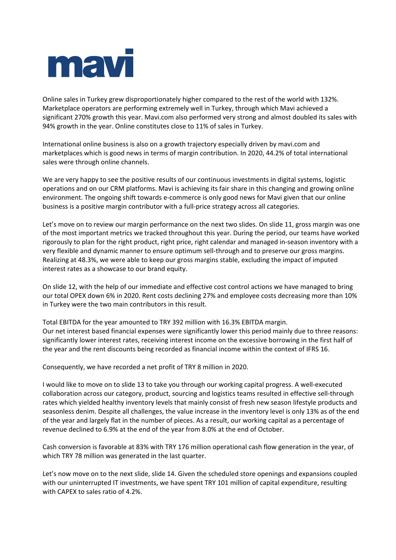

Online sales in Turkey grew disproportionately higher compared to the rest of the world with 132%. Marketplace operators are performing extremely well in Turkey, through which Mavi achieved a significant 270% growth this year. Mavi.com also performed very strong and almost doubled its sales with 94% growth in the year. Online constitutes close to 11% of sales in Turkey.

International online business is also on a growth trajectory especially driven by mavi.com and marketplaces which is good news in terms of margin contribution. In 2020, 44.2% of total international sales were through online channels.

We are very happy to see the positive results of our continuous investments in digital systems, logistic operations and on our CRM platforms. Mavi is achieving its fair share in this changing and growing online environment. The ongoing shift towards e-commerce is only good news for Mavi given that our online business is a positive margin contributor with a full-price strategy across all categories.

Let's move on to review our margin performance on the next two slides. On slide 11, gross margin was one of the most important metrics we tracked throughout this year. During the period, our teams have worked rigorously to plan for the right product, right price, right calendar and managed in-season inventory with a very flexible and dynamic manner to ensure optimum sell-through and to preserve our gross margins. Realizing at 48.3%, we were able to keep our gross margins stable, excluding the impact of imputed interest rates as a showcase to our brand equity.

On slide 12, with the help of our immediate and effective cost control actions we have managed to bring our total OPEX down 6% in 2020. Rent costs declining 27% and employee costs decreasing more than 10% in Turkey were the two main contributors in this result.

Total EBITDA for the year amounted to TRY 392 million with 16.3% EBITDA margin. Our net interest based financial expenses were significantly lower this period mainly due to three reasons: significantly lower interest rates, receiving interest income on the excessive borrowing in the first half of the year and the rent discounts being recorded as financial income within the context of IFRS 16.

Consequently, we have recorded a net profit of TRY 8 million in 2020.

I would like to move on to slide 13 to take you through our working capital progress. A well-executed collaboration across our category, product, sourcing and logistics teams resulted in effective sell-through rates which yielded healthy inventory levels that mainly consist of fresh new season lifestyle products and seasonless denim. Despite all challenges, the value increase in the inventory level is only 13% as of the end of the year and largely flat in the number of pieces. As a result, our working capital as a percentage of revenue declined to 6.9% at the end of the year from 8.0% at the end of October.

Cash conversion is favorable at 83% with TRY 176 million operational cash flow generation in the year, of which TRY 78 million was generated in the last quarter.

Let's now move on to the next slide, slide 14. Given the scheduled store openings and expansions coupled with our uninterrupted IT investments, we have spent TRY 101 million of capital expenditure, resulting with CAPEX to sales ratio of 4.2%.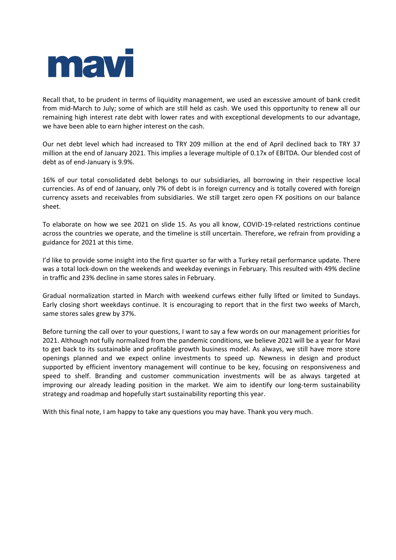

Recall that, to be prudent in terms of liquidity management, we used an excessive amount of bank credit from mid-March to July; some of which are still held as cash. We used this opportunity to renew all our remaining high interest rate debt with lower rates and with exceptional developments to our advantage, we have been able to earn higher interest on the cash.

Our net debt level which had increased to TRY 209 million at the end of April declined back to TRY 37 million at the end of January 2021. This implies a leverage multiple of 0.17x of EBITDA. Our blended cost of debt as of end-January is 9.9%.

16% of our total consolidated debt belongs to our subsidiaries, all borrowing in their respective local currencies. As of end of January, only 7% of debt is in foreign currency and is totally covered with foreign currency assets and receivables from subsidiaries. We still target zero open FX positions on our balance sheet.

To elaborate on how we see 2021 on slide 15. As you all know, COVID-19-related restrictions continue across the countries we operate, and the timeline is still uncertain. Therefore, we refrain from providing a guidance for 2021 at this time.

I'd like to provide some insight into the first quarter so far with a Turkey retail performance update. There was a total lock-down on the weekends and weekday evenings in February. This resulted with 49% decline in traffic and 23% decline in same stores sales in February.

Gradual normalization started in March with weekend curfews either fully lifted or limited to Sundays. Early closing short weekdays continue. It is encouraging to report that in the first two weeks of March, same stores sales grew by 37%.

Before turning the call over to your questions, I want to say a few words on our management priorities for 2021. Although not fully normalized from the pandemic conditions, we believe 2021 will be a year for Mavi to get back to its sustainable and profitable growth business model. As always, we still have more store openings planned and we expect online investments to speed up. Newness in design and product supported by efficient inventory management will continue to be key, focusing on responsiveness and speed to shelf. Branding and customer communication investments will be as always targeted at improving our already leading position in the market. We aim to identify our long-term sustainability strategy and roadmap and hopefully start sustainability reporting this year.

With this final note, I am happy to take any questions you may have. Thank you very much.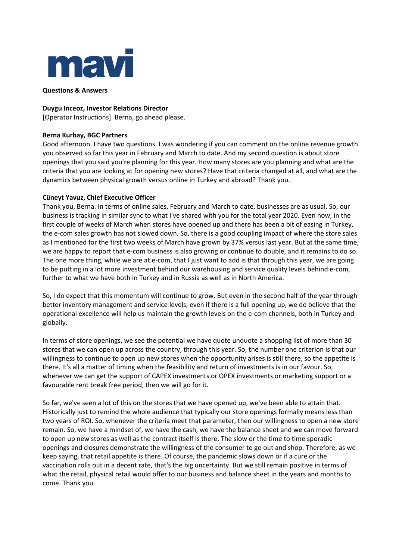

**Questions & Answers**

### **Duygu Inceoz, Investor Relations Director**

[Operator Instructions]. Berna, go ahead please.

# **Berna Kurbay, BGC Partners**

Good afternoon. I have two questions. I was wondering if you can comment on the online revenue growth you observed so far this year in February and March to date. And my second question is about store openings that you said you're planning for this year. How many stores are you planning and what are the criteria that you are looking at for opening new stores? Have that criteria changed at all, and what are the dynamics between physical growth versus online in Turkey and abroad? Thank you.

# **Cüneyt Yavuz, Chief Executive Officer**

Thank you, Berna. In terms of online sales, February and March to date, businesses are as usual. So, our business is tracking in similar sync to what I've shared with you for the total year 2020. Even now, in the first couple of weeks of March when stores have opened up and there has been a bit of easing in Turkey, the e-com sales growth has not slowed down. So, there is a good coupling impact of where the store sales as I mentioned for the first two weeks of March have grown by 37% versus last year. But at the same time, we are happy to report that e-com business is also growing or continue to double, and it remains to do so. The one more thing, while we are at e-com, that I just want to add is that through this year, we are going to be putting in a lot more investment behind our warehousing and service quality levels behind e-com, further to what we have both in Turkey and in Russia as well as in North America.

So, I do expect that this momentum will continue to grow. But even in the second half of the year through better inventory management and service levels, even if there is a full opening up, we do believe that the operational excellence will help us maintain the growth levels on the e-com channels, both in Turkey and globally.

In terms of store openings, we see the potential we have quote unquote a shopping list of more than 30 stores that we can open up across the country, through this year. So, the number one criterion is that our willingness to continue to open up new stores when the opportunity arises is still there, so the appetite is there. It's all a matter of timing when the feasibility and return of investments is in our favour. So, whenever we can get the support of CAPEX investments or OPEX investments or marketing support or a favourable rent break free period, then we will go for it.

So far, we've seen a lot of this on the stores that we have opened up, we've been able to attain that. Historically just to remind the whole audience that typically our store openings formally means less than two years of ROI. So, whenever the criteria meet that parameter, then our willingness to open a new store remain. So, we have a mindset of, we have the cash, we have the balance sheet and we can move forward to open up new stores as well as the contract itself is there. The slow or the time to time sporadic openings and closures demonstrate the willingness of the consumer to go out and shop. Therefore, as we keep saying, that retail appetite is there. Of course, the pandemic slows down or if a cure or the vaccination rolls out in a decent rate, that's the big uncertainty. But we still remain positive in terms of what the retail, physical retail would offer to our business and balance sheet in the years and months to come. Thank you.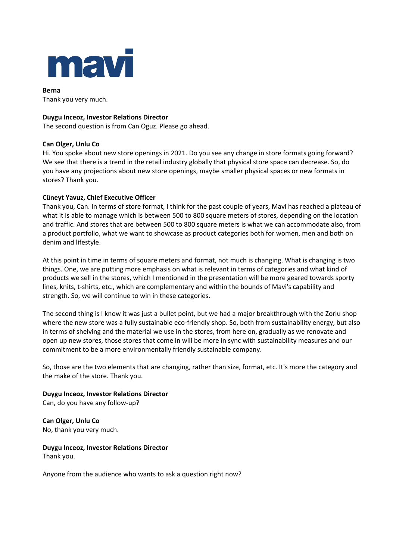

**Berna** Thank you very much.

# **Duygu Inceoz, Investor Relations Director**

The second question is from Can Oguz. Please go ahead.

### **Can Olger, Unlu Co**

Hi. You spoke about new store openings in 2021. Do you see any change in store formats going forward? We see that there is a trend in the retail industry globally that physical store space can decrease. So, do you have any projections about new store openings, maybe smaller physical spaces or new formats in stores? Thank you.

# **Cüneyt Yavuz, Chief Executive Officer**

Thank you, Can. In terms of store format, I think for the past couple of years, Mavi has reached a plateau of what it is able to manage which is between 500 to 800 square meters of stores, depending on the location and traffic. And stores that are between 500 to 800 square meters is what we can accommodate also, from a product portfolio, what we want to showcase as product categories both for women, men and both on denim and lifestyle.

At this point in time in terms of square meters and format, not much is changing. What is changing is two things. One, we are putting more emphasis on what is relevant in terms of categories and what kind of products we sell in the stores, which I mentioned in the presentation will be more geared towards sporty lines, knits, t-shirts, etc., which are complementary and within the bounds of Mavi's capability and strength. So, we will continue to win in these categories.

The second thing is I know it was just a bullet point, but we had a major breakthrough with the Zorlu shop where the new store was a fully sustainable eco-friendly shop. So, both from sustainability energy, but also in terms of shelving and the material we use in the stores, from here on, gradually as we renovate and open up new stores, those stores that come in will be more in sync with sustainability measures and our commitment to be a more environmentally friendly sustainable company.

So, those are the two elements that are changing, rather than size, format, etc. It's more the category and the make of the store. Thank you.

**Duygu Inceoz, Investor Relations Director** Can, do you have any follow-up?

**Can Olger, Unlu Co** No, thank you very much.

**Duygu Inceoz, Investor Relations Director** Thank you.

Anyone from the audience who wants to ask a question right now?